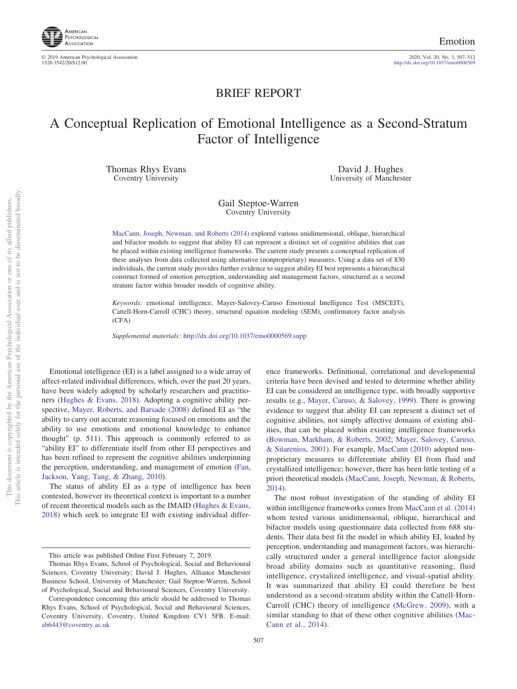

© 2019 American Psychological Association 2020, Vol. 20, No. 3, 507–512

http://dx.doi.org[/10.1037/emo0000569](http://dx.doi.org/10.1037/emo0000569)

# BRIEF REPORT

# A Conceptual Replication of Emotional Intelligence as a Second-Stratum Factor of Intelligence

Thomas Rhys Evans Coventry University

David J. Hughes University of Manchester

Gail Steptoe-Warren Coventry University

[MacCann, Joseph, Newman, and Roberts \(2014\)](#page-4-0) explored various unidimensional, oblique, hierarchical and bifactor models to suggest that ability EI can represent a distinct set of cognitive abilities that can be placed within existing intelligence frameworks. The current study presents a conceptual replication of these analyses from data collected using alternative (nonproprietary) measures. Using a data set of 830 individuals, the current study provides further evidence to suggest ability EI best represents a hierarchical construct formed of emotion perception, understanding and management factors, structured as a second stratum factor within broader models of cognitive ability.

*Keywords:* emotional intelligence, Mayer-Salovey-Caruso Emotional Intelligence Test (MSCEIT), Cattell-Horn-Carroll (CHC) theory, structural equation modeling (SEM), confirmatory factor analysis (CFA)

*Supplemental materials:* http://dx.doi.org/10.1037/emo0000569.supp

Emotional intelligence (EI) is a label assigned to a wide array of affect-related individual differences, which, over the past 20 years, have been widely adopted by scholarly researchers and practitioners [\(Hughes & Evans, 2018\)](#page-4-1). Adopting a cognitive ability perspective, [Mayer, Roberts, and Barsade \(2008\)](#page-4-2) defined EI as "the ability to carry out accurate reasoning focused on emotions and the ability to use emotions and emotional knowledge to enhance thought" (p. 511). This approach is commonly referred to as "ability EI" to differentiate itself from other EI perspectives and has been refined to represent the cognitive abilities underpinning the perception, understanding, and management of emotion [\(Fan,](#page-4-3) [Jackson, Yang, Tang, & Zhang, 2010\)](#page-4-3).

The status of ability EI as a type of intelligence has been contested, however its theoretical context is important to a number of recent theoretical models such as the IMAID [\(Hughes & Evans,](#page-4-1) [2018\)](#page-4-1) which seek to integrate EI with existing individual differ-

ence frameworks. Definitional, correlational and developmental criteria have been devised and tested to determine whether ability EI can be considered an intelligence type, with broadly supportive results (e.g., [Mayer, Caruso, & Salovey, 1999\)](#page-4-4). There is growing evidence to suggest that ability EI can represent a distinct set of cognitive abilities, not simply affective domains of existing abilities, that can be placed within existing intelligence frameworks [\(Bowman, Markham, & Roberts, 2002;](#page-4-5) [Mayer, Salovey, Caruso,](#page-4-6) [& Sitarenios, 2001\)](#page-4-6). For example, [MacCann \(2010\)](#page-4-7) adopted nonproprietary measures to differentiate ability EI from fluid and crystallized intelligence; however, there has been little testing of a priori theoretical models [\(MacCann, Joseph, Newman, & Roberts,](#page-4-0) [2014\)](#page-4-0).

The most robust investigation of the standing of ability EI within intelligence frameworks comes from [MacCann et al. \(2014\)](#page-4-0) whom tested various unidimensional, oblique, hierarchical and bifactor models using questionnaire data collected from 688 students. Their data best fit the model in which ability EI, loaded by perception, understanding and management factors, was hierarchically structured under a general intelligence factor alongside broad ability domains such as quantitative reasoning, fluid intelligence, crystalized intelligence, and visual-spatial ability. It was summarized that ability EI could therefore be best understood as a second-stratum ability within the Cattell-Horn-Carroll (CHC) theory of intelligence [\(McGrew, 2009\)](#page-4-8), with a similar standing to that of these other cognitive abilities [\(Mac-](#page-4-0)[Cann et al., 2014\)](#page-4-0).

This article was published Online First February 7, 2019.

Thomas Rhys Evans, School of Psychological, Social and Behavioural Sciences, Coventry University; David J. Hughes, Alliance Manchester Business School, University of Manchester; Gail Steptoe-Warren, School of Psychological, Social and Behavioural Sciences, Coventry University.

Correspondence concerning this article should be addressed to Thomas Rhys Evans, School of Psychological, Social and Behavioural Sciences, Coventry University, Coventry, United Kingdom CV1 5FB. E-mail: [ab6443@coventry.ac.uk](mailto:ab6443@coventry.ac.uk)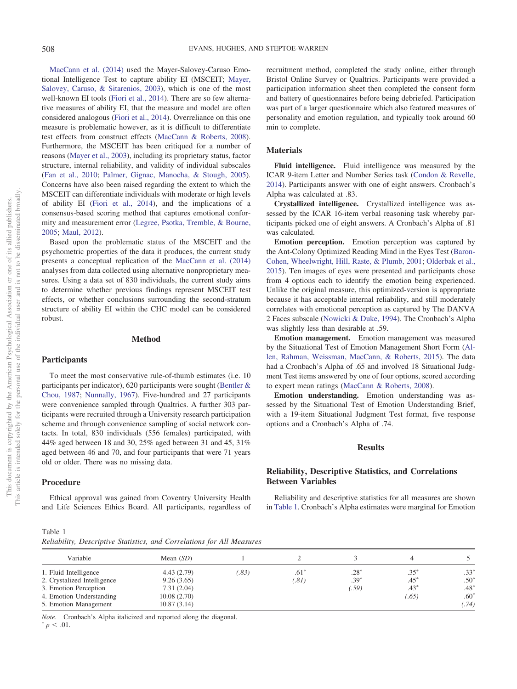one of its allied publishers.

 $\rm \tilde{o}$ 

This document is copyrighted by the American Psychological Association or one of its allied publishers.

This document is copyrighted by the American Psychological Association

[MacCann et al. \(2014\)](#page-4-0) used the Mayer-Salovey-Caruso Emotional Intelligence Test to capture ability EI (MSCEIT; [Mayer,](#page-4-9) [Salovey, Caruso, & Sitarenios, 2003\)](#page-4-9), which is one of the most well-known EI tools [\(Fiori et al., 2014\)](#page-4-10). There are so few alternative measures of ability EI, that the measure and model are often considered analogous [\(Fiori et al., 2014\)](#page-4-10). Overreliance on this one measure is problematic however, as it is difficult to differentiate test effects from construct effects [\(MacCann & Roberts, 2008\)](#page-4-11). Furthermore, the MSCEIT has been critiqued for a number of reasons [\(Mayer et al., 2003\)](#page-4-9), including its proprietary status, factor structure, internal reliability, and validity of individual subscales [\(Fan et al., 2010;](#page-4-3) [Palmer, Gignac, Manocha, & Stough, 2005\)](#page-5-0). Concerns have also been raised regarding the extent to which the MSCEIT can differentiate individuals with moderate or high levels of ability EI [\(Fiori et al., 2014\)](#page-4-10), and the implications of a consensus-based scoring method that captures emotional conformity and measurement error [\(Legree, Psotka, Tremble, & Bourne,](#page-4-12) [2005;](#page-4-12) [Maul, 2012\)](#page-4-13).

Based upon the problematic status of the MSCEIT and the psychometric properties of the data it produces, the current study presents a conceptual replication of the [MacCann et al. \(2014\)](#page-4-0) analyses from data collected using alternative nonproprietary measures. Using a data set of 830 individuals, the current study aims to determine whether previous findings represent MSCEIT test effects, or whether conclusions surrounding the second-stratum structure of ability EI within the CHC model can be considered robust.

# **Method**

# **Participants**

To meet the most conservative rule-of-thumb estimates (i.e. 10 participants per indicator), 620 participants were sought [\(Bentler &](#page-4-14) [Chou, 1987;](#page-4-14) [Nunnally, 1967\)](#page-5-1). Five-hundred and 27 participants were convenience sampled through Qualtrics. A further 303 participants were recruited through a University research participation scheme and through convenience sampling of social network contacts. In total, 830 individuals (556 females) participated, with 44% aged between 18 and 30, 25% aged between 31 and 45, 31% aged between 46 and 70, and four participants that were 71 years old or older. There was no missing data.

# **Procedure**

Ethical approval was gained from Coventry University Health and Life Sciences Ethics Board. All participants, regardless of recruitment method, completed the study online, either through Bristol Online Survey or Qualtrics. Participants were provided a participation information sheet then completed the consent form and battery of questionnaires before being debriefed. Participation was part of a larger questionnaire which also featured measures of personality and emotion regulation, and typically took around 60 min to complete.

### **Materials**

**Fluid intelligence.** Fluid intelligence was measured by the ICAR 9-item Letter and Number Series task [\(Condon & Revelle,](#page-4-15) [2014\)](#page-4-15). Participants answer with one of eight answers. Cronbach's Alpha was calculated at .83.

**Crystallized intelligence.** Crystallized intelligence was assessed by the ICAR 16-item verbal reasoning task whereby participants picked one of eight answers. A Cronbach's Alpha of .81 was calculated.

**Emotion perception.** Emotion perception was captured by the Ant-Colony Optimized Reading Mind in the Eyes Test [\(Baron-](#page-4-16)[Cohen, Wheelwright, Hill, Raste, & Plumb, 2001;](#page-4-16) [Olderbak et al.,](#page-5-2) [2015\)](#page-5-2). Ten images of eyes were presented and participants chose from 4 options each to identify the emotion being experienced. Unlike the original measure, this optimized-version is appropriate because it has acceptable internal reliability, and still moderately correlates with emotional perception as captured by The DANVA 2 Faces subscale [\(Nowicki & Duke, 1994\)](#page-5-3). The Cronbach's Alpha was slightly less than desirable at .59.

**Emotion management.** Emotion management was measured by the Situational Test of Emotion Management Short Form [\(Al](#page-4-17)[len, Rahman, Weissman, MacCann, & Roberts, 2015\)](#page-4-17). The data had a Cronbach's Alpha of .65 and involved 18 Situational Judgment Test items answered by one of four options, scored according to expert mean ratings [\(MacCann & Roberts, 2008\)](#page-4-11).

**Emotion understanding.** Emotion understanding was assessed by the Situational Test of Emotion Understanding Brief, with a 19-item Situational Judgment Test format, five response options and a Cronbach's Alpha of .74.

### **Results**

# **Reliability, Descriptive Statistics, and Correlations Between Variables**

Reliability and descriptive statistics for all measures are shown in [Table 1.](#page-1-0) Cronbach's Alpha estimates were marginal for Emotion

<span id="page-1-0"></span>

| Table 1 |  |                                                                        |
|---------|--|------------------------------------------------------------------------|
|         |  | Reliability, Descriptive Statistics, and Correlations for All Measures |

| Variable                    | Mean $(SD)$ |       |       |        |        |        |
|-----------------------------|-------------|-------|-------|--------|--------|--------|
| 1. Fluid Intelligence       | 4.43(2.79)  | (.83) | .61   | $.28*$ | $.35*$ | $.33*$ |
| 2. Crystalized Intelligence | 9.26(3.65)  |       | (.81) | $.39*$ | $.45*$ | $.50*$ |
| 3. Emotion Perception       | 7.31(2.04)  |       |       | (.59)  | $.43*$ | $.48*$ |
| 4. Emotion Understanding    | 10.08(2.70) |       |       |        | (.65)  | $.60*$ |
| 5. Emotion Management       | 10.87(3.14) |       |       |        |        | (74)   |

*Note*. Cronbach's Alpha italicized and reported along the diagonal.

 $^{*}p < .01$ .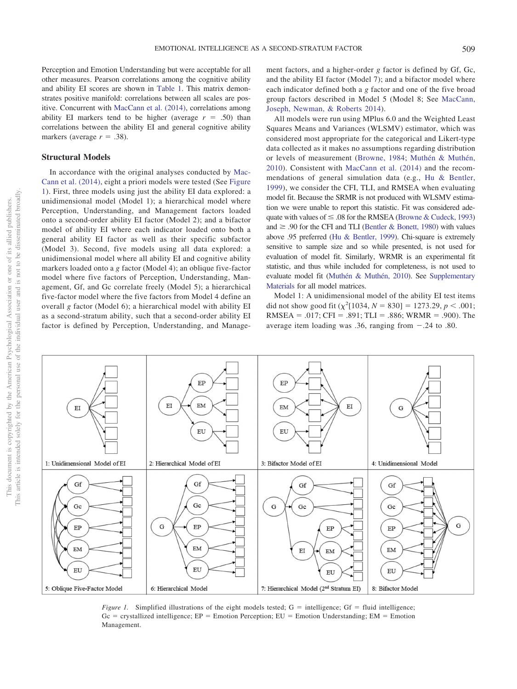Perception and Emotion Understanding but were acceptable for all other measures. Pearson correlations among the cognitive ability and ability EI scores are shown in [Table 1.](#page-1-0) This matrix demonstrates positive manifold: correlations between all scales are positive. Concurrent with [MacCann et al. \(2014\),](#page-4-0) correlations among ability EI markers tend to be higher (average  $r = .50$ ) than correlations between the ability EI and general cognitive ability markers (average  $r = .38$ ).

# **Structural Models**

In accordance with the original analyses conducted by [Mac-](#page-4-0)[Cann et al. \(2014\),](#page-4-0) eight a priori models were tested (See [Figure](#page-2-0) [1\)](#page-2-0). First, three models using just the ability EI data explored: a unidimensional model (Model 1); a hierarchical model where Perception, Understanding, and Management factors loaded onto a second-order ability EI factor (Model 2); and a bifactor model of ability EI where each indicator loaded onto both a general ability EI factor as well as their specific subfactor (Model 3). Second, five models using all data explored: a unidimensional model where all ability EI and cognitive ability markers loaded onto a *g* factor (Model 4); an oblique five-factor model where five factors of Perception, Understanding, Management, Gf, and Gc correlate freely (Model 5); a hierarchical five-factor model where the five factors from Model 4 define an overall *g* factor (Model 6); a hierarchical model with ability EI as a second-stratum ability, such that a second-order ability EI factor is defined by Perception, Understanding, and Manage-

ment factors, and a higher-order *g* factor is defined by Gf, Gc, and the ability EI factor (Model 7); and a bifactor model where each indicator defined both a *g* factor and one of the five broad group factors described in Model 5 (Model 8; See [MacCann,](#page-4-0) [Joseph, Newman, & Roberts 2014\)](#page-4-0).

All models were run using MPlus 6.0 and the Weighted Least Squares Means and Variances (WLSMV) estimator, which was considered most appropriate for the categorical and Likert-type data collected as it makes no assumptions regarding distribution or levels of measurement [\(Browne, 1984;](#page-4-18) [Muthén & Muthén,](#page-5-4) [2010\)](#page-5-4). Consistent with [MacCann et al. \(2014\)](#page-4-0) and the recommendations of general simulation data (e.g., [Hu & Bentler,](#page-4-19) [1999\)](#page-4-19), we consider the CFI, TLI, and RMSEA when evaluating model fit. Because the SRMR is not produced with WLSMV estimation we were unable to report this statistic. Fit was considered adequate with values of  $\leq 0.08$  for the RMSEA [\(Browne & Cudeck, 1993\)](#page-4-20) and  $\geq$  .90 for the CFI and TLI [\(Bentler & Bonett, 1980\)](#page-4-21) with values above .95 preferred [\(Hu & Bentler, 1999\)](#page-4-19). Chi-square is extremely sensitive to sample size and so while presented, is not used for evaluation of model fit. Similarly, WRMR is an experimental fit statistic, and thus while included for completeness, is not used to evaluate model fit [\(Muthén & Muthén, 2010\)](#page-5-4). See [Supplementary](http://dx.doi.org/10.1037/emo0000569.supp) [Materials](http://dx.doi.org/10.1037/emo0000569.supp) for all model matrices.

Model 1: A unidimensional model of the ability EI test items did not show good fit  $(\chi^2[1034, N = 830] = 1273.29, p < .001;$ RMSEA = .017; CFI = .891; TLI = .886; WRMR = .900). The average item loading was .36, ranging from  $-.24$  to .80.

 $EP$ EP  $\mathop{\rm EI}$ **EM**  $\mathop{\rm EI}$ **EM**  $EI$ G  ${\rm EU}$ EU 1: Unidimensional Model of EI 2: Hierarchical Model of EI 3: Bifactor Model of EI 4: Unidimensional Model Gf Gf Gf Gf  $Gc$ Gc Gc G  $Gc$  ${\bf G}$  ${\bf G}$  $EP$ EP EP  $EP$ EM **EM**  $EI$ **EM** EM EU EU  ${\rm EU}$ EU 7: Hierarchical Model (2<sup>nd</sup> Stratum EI) 5: Oblique Five-Factor Model 6: Hierarchical Mode 8: Bifactor Mode

<span id="page-2-0"></span>*Figure 1.* Simplified illustrations of the eight models tested;  $G =$  intelligence;  $Gf =$  fluid intelligence;  $Gc =$  crystallized intelligence;  $EP =$  Emotion Perception;  $EU =$  Emotion Understanding; EM = Emotion Management.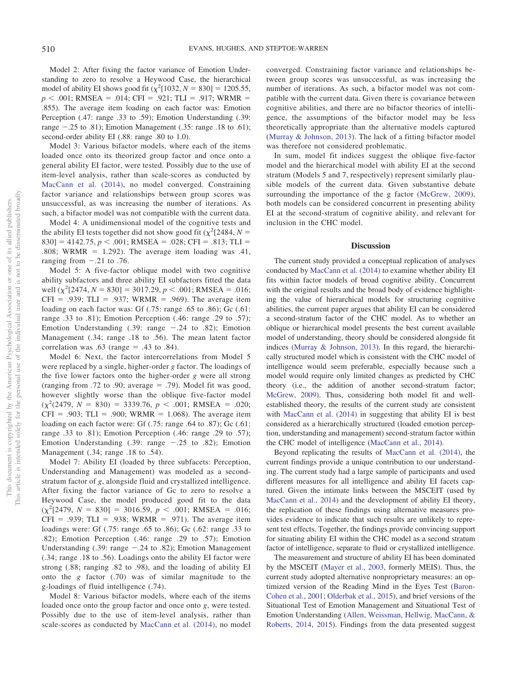Model 2: After fixing the factor variance of Emotion Understanding to zero to resolve a Heywood Case, the hierarchical model of ability EI shows good fit  $(\chi^2[1032, N = 830] = 1205.55,$  $p$  < .001; RMSEA = .014; CFI = .921; TLI = .917; WRMR = .855). The average item loading on each factor was: Emotion Perception (.47: range .33 to .59); Emotion Understanding (.39: range  $-.25$  to .81); Emotion Management (.35: range .18 to .61); second-order ability EI (.88: range .80 to 1.0).

Model 3: Various bifactor models, where each of the items loaded once onto its theorized group factor and once onto a general ability EI factor, were tested. Possibly due to the use of item-level analysis, rather than scale-scores as conducted by [MacCann et al. \(2014\),](#page-4-0) no model converged. Constraining factor variance and relationships between group scores was unsuccessful, as was increasing the number of iterations. As such, a bifactor model was not compatible with the current data.

Model 4: A unidimensional model of the cognitive tests and the ability EI tests together did not show good fit ( $\chi^2$ [2484, *N* =  $[830] = 4142.75, p < .001; RMSEA = .028; CFI = .813; TLI =$ .808; WRMR =  $1.292$ ). The average item loading was .41, ranging from  $-.21$  to .76.

Model 5: A five-factor oblique model with two cognitive ability subfactors and three ability EI subfactors fitted the data well  $(\chi^2[2474, N = 830] = 3017.29, p < .001; RMSEA = .016;$  $CFI = .939$ ; TLI = .937; WRMR = .969). The average item loading on each factor was: Gf (.75: range .65 to .86); Gc (.61: range .33 to .81); Emotion Perception (.46: range .29 to .57); Emotion Understanding  $(.39: range -.24 \text{ to } .82)$ ; Emotion Management (.34; range .18 to .56). The mean latent factor correlation was  $.63$  (range =  $.43$  to  $.84$ ).

Model 6: Next, the factor intercorrelations from Model 5 were replaced by a single, higher-order *g* factor. The loadings of the five lower factors onto the higher-order *g* were all strong (ranging from .72 to .90; average  $= .79$ ). Model fit was good, however slightly worse than the oblique five-factor model  $(\chi^2(2479, N = 830) = 3339.76, p < .001; RMSEA = .020;$  $CFI = .903$ ; TLI = .900; WRMR = 1.068). The average item loading on each factor were: Gf (.75: range .64 to .87); Gc (.61: range .33 to .81); Emotion Perception (.46: range .29 to .57); Emotion Understanding  $(.39: range -.25 to .82)$ ; Emotion Management (.34; range .18 to .54).

Model 7: Ability EI (loaded by three subfacets: Perception, Understanding and Management) was modeled as a secondstratum factor of *g*, alongside fluid and crystallized intelligence. After fixing the factor variance of Gc to zero to resolve a Heywood Case, the model produced good fit to the data  $(\chi^2[2479, N = 830] = 3016.59, p < .001; RMSEA = .016;$  $CFI = .939$ ; TLI = .938; WRMR = .971). The average item loadings were: Gf (.75: range .65 to .86); Gc (.62: range .33 to .82); Emotion Perception (.46: range .29 to .57); Emotion Understanding  $(.39: \text{range} -.24 \text{ to } .82)$ ; Emotion Management (.34; range .18 to .56). Loadings onto the ability EI factor were strong (.88; ranging .82 to .98), and the loading of ability EI onto the *g* factor (.70) was of similar magnitude to the g-loadings of fluid intelligence (.74).

Model 8: Various bifactor models, where each of the items loaded once onto the group factor and once onto *g*, were tested. Possibly due to the use of item-level analysis, rather than scale-scores as conducted by [MacCann et al. \(2014\),](#page-4-0) no model converged. Constraining factor variance and relationships between group scores was unsuccessful, as was increasing the number of iterations. As such, a bifactor model was not compatible with the current data. Given there is covariance between cognitive abilities, and there are no bifactor theories of intelligence, the assumptions of the bifactor model may be less theoretically appropriate than the alternative models captured [\(Murray & Johnson, 2013\)](#page-5-5). The lack of a fitting bifactor model was therefore not considered problematic.

In sum, model fit indices suggest the oblique five-factor model and the hierarchical model with ability EI at the second stratum (Models 5 and 7, respectively) represent similarly plausible models of the current data. Given substantive debate surrounding the importance of the g factor [\(McGrew, 2009\)](#page-4-8), both models can be considered concurrent in presenting ability EI at the second-stratum of cognitive ability, and relevant for inclusion in the CHC model.

# **Discussion**

The current study provided a conceptual replication of analyses conducted by [MacCann et al. \(2014\)](#page-4-0) to examine whether ability EI fits within factor models of broad cognitive ability. Concurrent with the original results and the broad body of evidence highlighting the value of hierarchical models for structuring cognitive abilities, the current paper argues that ability EI can be considered a second-stratum factor of the CHC model. As to whether an oblique or hierarchical model presents the best current available model of understanding, theory should be considered alongside fit indices [\(Murray & Johnson, 2013\)](#page-5-5). In this regard, the hierarchically structured model which is consistent with the CHC model of intelligence would seem preferable, especially because such a model would require only limited changes as predicted by CHC theory (i.e., the addition of another second-stratum factor; [McGrew, 2009\)](#page-4-8). Thus, considering both model fit and wellestablished theory, the results of the current study are consistent with [MacCann et al. \(2014\)](#page-4-0) in suggesting that ability EI is best considered as a hierarchically structured (loaded emotion perception, understanding and management) second-stratum factor within the CHC model of intelligence [\(MacCann et al., 2014\)](#page-4-0).

Beyond replicating the results of [MacCann et al. \(2014\),](#page-4-0) the current findings provide a unique contribution to our understanding. The current study had a large sample of participants and used different measures for all intelligence and ability EI facets captured. Given the intimate links between the MSCEIT (used by [MacCann et al., 2014\)](#page-4-0) and the development of ability EI theory, the replication of these findings using alternative measures provides evidence to indicate that such results are unlikely to represent test effects. Together, the findings provide convincing support for situating ability EI within the CHC model as a second stratum factor of intelligence, separate to fluid or crystallized intelligence.

The measurement and structure of ability EI has been dominated by the MSCEIT [\(Mayer et al., 2003,](#page-4-9) formerly MEIS). Thus, the current study adopted alternative nonproprietary measures: an optimized version of the Reading Mind in the Eyes Test [\(Baron-](#page-4-16)[Cohen et al., 2001;](#page-4-16) [Olderbak et al., 2015\)](#page-5-2), and brief versions of the Situational Test of Emotion Management and Situational Test of Emotion Understanding [\(Allen, Weissman, Hellwig, MacCann, &](#page-4-22) [Roberts, 2014,](#page-4-22) [2015\)](#page-4-17). Findings from the data presented suggest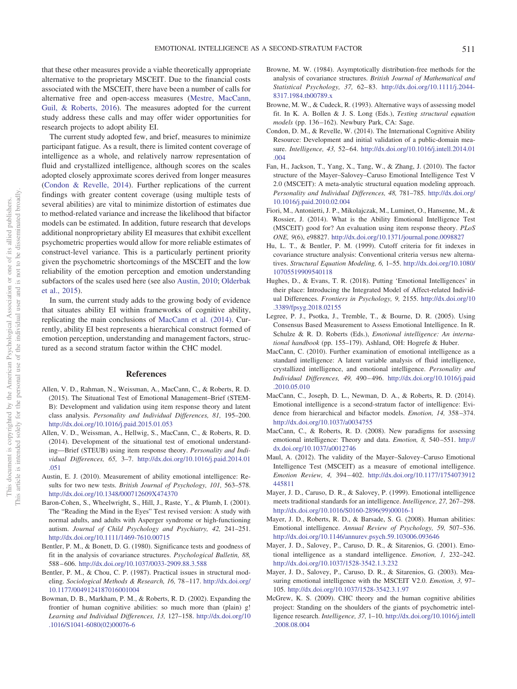associated with the MSCEIT, there have been a number of calls for alternative free and open-access measures [\(Mestre, MacCann,](#page-5-6) [Guil, & Roberts, 2016\)](#page-5-6). The measures adopted for the current study address these calls and may offer wider opportunities for research projects to adopt ability EI.

The current study adopted few, and brief, measures to minimize participant fatigue. As a result, there is limited content coverage of intelligence as a whole, and relatively narrow representation of fluid and crystallized intelligence, although scores on the scales adopted closely approximate scores derived from longer measures [\(Condon & Revelle, 2014\)](#page-4-15). Further replications of the current findings with greater content coverage (using multiple tests of several abilities) are vital to minimize distortion of estimates due to method-related variance and increase the likelihood that bifactor models can be estimated. In addition, future research that develops additional nonproprietary ability EI measures that exhibit excellent psychometric properties would allow for more reliable estimates of construct-level variance. This is a particularly pertinent priority given the psychometric shortcomings of the MSCEIT and the low reliability of the emotion perception and emotion understanding subfactors of the scales used here (see also [Austin, 2010;](#page-4-23) [Olderbak](#page-5-2) [et al., 2015\)](#page-5-2).

In sum, the current study adds to the growing body of evidence that situates ability EI within frameworks of cognitive ability, replicating the main conclusions of [MacCann et al. \(2014\).](#page-4-0) Currently, ability EI best represents a hierarchical construct formed of emotion perception, understanding and management factors, structured as a second stratum factor within the CHC model.

# **References**

- <span id="page-4-17"></span>Allen, V. D., Rahman, N., Weissman, A., MacCann, C., & Roberts, R. D. (2015). The Situational Test of Emotional Management–Brief (STEM-B): Development and validation using item response theory and latent class analysis. *Personality and Individual Differences, 81,* 195–200. <http://dx.doi.org/10.1016/j.paid.2015.01.053>
- <span id="page-4-22"></span>Allen, V. D., Weissman, A., Hellwig, S., MacCann, C., & Roberts, R. D. (2014). Development of the situational test of emotional understanding—Brief (STEUB) using item response theory. *Personality and Individual Differences, 65,* 3–7. [http://dx.doi.org/10.1016/j.paid.2014.01](http://dx.doi.org/10.1016/j.paid.2014.01.051) [.051](http://dx.doi.org/10.1016/j.paid.2014.01.051)
- <span id="page-4-23"></span>Austin, E. J. (2010). Measurement of ability emotional intelligence: Results for two new tests. *British Journal of Psychology, 101,* 563–578. <http://dx.doi.org/10.1348/000712609X474370>
- <span id="page-4-16"></span>Baron-Cohen, S., Wheelwright, S., Hill, J., Raste, Y., & Plumb, I. (2001). The "Reading the Mind in the Eyes" Test revised version: A study with normal adults, and adults with Asperger syndrome or high-functioning autism. *Journal of Child Psychology and Psychiatry, 42,* 241–251. <http://dx.doi.org/10.1111/1469-7610.00715>
- <span id="page-4-21"></span>Bentler, P. M., & Bonett, D. G. (1980). Significance tests and goodness of fit in the analysis of covariance structures. *Psychological Bulletin, 88,* 588 – 606. <http://dx.doi.org/10.1037/0033-2909.88.3.588>
- <span id="page-4-14"></span>Bentler, P. M., & Chou, C. P. (1987). Practical issues in structural modeling. *Sociological Methods & Research, 16,* 78 –117. [http://dx.doi.org/](http://dx.doi.org/10.1177/0049124187016001004) [10.1177/0049124187016001004](http://dx.doi.org/10.1177/0049124187016001004)
- <span id="page-4-5"></span>Bowman, D. B., Markham, P. M., & Roberts, R. D. (2002). Expanding the frontier of human cognitive abilities: so much more than (plain) g! *Learning and Individual Differences, 13,* 127–158. [http://dx.doi.org/10](http://dx.doi.org/10.1016/S1041-6080%2802%2900076-6) [.1016/S1041-6080\(02\)00076-6](http://dx.doi.org/10.1016/S1041-6080%2802%2900076-6)
- <span id="page-4-18"></span>Browne, M. W. (1984). Asymptotically distribution-free methods for the analysis of covariance structures. *British Journal of Mathematical and Statistical Psychology, 37,* 62– 83. [http://dx.doi.org/10.1111/j.2044-](http://dx.doi.org/10.1111/j.2044-8317.1984.tb00789.x) [8317.1984.tb00789.x](http://dx.doi.org/10.1111/j.2044-8317.1984.tb00789.x)
- <span id="page-4-20"></span>Browne, M. W., & Cudeck, R. (1993). Alternative ways of assessing model fit. In K. A. Bollen & J. S. Long (Eds.), *Testing structural equation* models (pp. 136-162). Newbury Park, CA: Sage.
- <span id="page-4-15"></span>Condon, D. M., & Revelle, W. (2014). The International Cognitive Ability Resource: Development and initial validation of a public-domain measure. *Intelligence, 43,* 52– 64. [http://dx.doi.org/10.1016/j.intell.2014.01](http://dx.doi.org/10.1016/j.intell.2014.01.004) [.004](http://dx.doi.org/10.1016/j.intell.2014.01.004)
- <span id="page-4-3"></span>Fan, H., Jackson, T., Yang, X., Tang, W., & Zhang, J. (2010). The factor structure of the Mayer–Salovey–Caruso Emotional Intelligence Test V 2.0 (MSCEIT): A meta-analytic structural equation modeling approach. *Personality and Individual Differences, 48,* 781–785. [http://dx.doi.org/](http://dx.doi.org/10.1016/j.paid.2010.02.004) [10.1016/j.paid.2010.02.004](http://dx.doi.org/10.1016/j.paid.2010.02.004)
- <span id="page-4-10"></span>Fiori, M., Antonietti, J. P., Mikolajczak, M., Luminet, O., Hansenne, M., & Rossier, J. (2014). What is the Ability Emotional Intelligence Test (MSCEIT) good for? An evaluation using item response theory. *PLoS ONE, 9*(6), e98827. <http://dx.doi.org/10.1371/journal.pone.0098827>
- <span id="page-4-19"></span>Hu, L. T., & Bentler, P. M. (1999). Cutoff criteria for fit indexes in covariance structure analysis: Conventional criteria versus new alternatives. *Structural Equation Modeling, 6,* 1–55. [http://dx.doi.org/10.1080/](http://dx.doi.org/10.1080/10705519909540118) [10705519909540118](http://dx.doi.org/10.1080/10705519909540118)
- <span id="page-4-1"></span>Hughes, D., & Evans, T. R. (2018). Putting 'Emotional Intelligences' in their place: Introducing the Integrated Model of Affect-related Individual Differences. *Frontiers in Psychology, 9,* 2155. [http://dx.doi.org/10](http://dx.doi.org/10.3389/fpsyg.2018.02155) [.3389/fpsyg.2018.02155](http://dx.doi.org/10.3389/fpsyg.2018.02155)
- <span id="page-4-12"></span>Legree, P. J., Psotka, J., Tremble, T., & Bourne, D. R. (2005). Using Consensus Based Measurement to Assess Emotional Intelligence. In R. Schulze & R. D. Roberts (Eds.), *Emotional intelligence: An international handbook* (pp. 155–179). Ashland, OH: Hogrefe & Huber.
- <span id="page-4-7"></span>MacCann, C. (2010). Further examination of emotional intelligence as a standard intelligence: A latent variable analysis of fluid intelligence, crystallized intelligence, and emotional intelligence. *Personality and Individual Differences, 49,* 490 – 496. [http://dx.doi.org/10.1016/j.paid](http://dx.doi.org/10.1016/j.paid.2010.05.010) [.2010.05.010](http://dx.doi.org/10.1016/j.paid.2010.05.010)
- <span id="page-4-0"></span>MacCann, C., Joseph, D. L., Newman, D. A., & Roberts, R. D. (2014). Emotional intelligence is a second-stratum factor of intelligence: Evidence from hierarchical and bifactor models. *Emotion, 14,* 358 –374. <http://dx.doi.org/10.1037/a0034755>
- <span id="page-4-11"></span>MacCann, C., & Roberts, R. D. (2008). New paradigms for assessing emotional intelligence: Theory and data. *Emotion, 8,* 540 –551. [http://](http://dx.doi.org/10.1037/a0012746) [dx.doi.org/10.1037/a0012746](http://dx.doi.org/10.1037/a0012746)
- <span id="page-4-13"></span>Maul, A. (2012). The validity of the Mayer–Salovey–Caruso Emotional Intelligence Test (MSCEIT) as a measure of emotional intelligence. *Emotion Review, 4,* 394 – 402. [http://dx.doi.org/10.1177/1754073912](http://dx.doi.org/10.1177/1754073912445811) [445811](http://dx.doi.org/10.1177/1754073912445811)
- <span id="page-4-4"></span>Mayer, J. D., Caruso, D. R., & Salovey, P. (1999). Emotional intelligence meets traditional standards for an intelligence. *Intelligence, 27,* 267–298. [http://dx.doi.org/10.1016/S0160-2896\(99\)00016-1](http://dx.doi.org/10.1016/S0160-2896%2899%2900016-1)
- <span id="page-4-2"></span>Mayer, J. D., Roberts, R. D., & Barsade, S. G. (2008). Human abilities: Emotional intelligence. *Annual Review of Psychology, 59,* 507–536. <http://dx.doi.org/10.1146/annurev.psych.59.103006.093646>
- <span id="page-4-6"></span>Mayer, J. D., Salovey, P., Caruso, D. R., & Sitarenios, G. (2001). Emotional intelligence as a standard intelligence. *Emotion, 1,* 232–242. <http://dx.doi.org/10.1037/1528-3542.1.3.232>
- <span id="page-4-9"></span>Mayer, J. D., Salovey, P., Caruso, D. R., & Sitarenios, G. (2003). Measuring emotional intelligence with the MSCEIT V2.0. *Emotion, 3,* 97– 105. <http://dx.doi.org/10.1037/1528-3542.3.1.97>
- <span id="page-4-8"></span>McGrew, K. S. (2009). CHC theory and the human cognitive abilities project: Standing on the shoulders of the giants of psychometric intelligence research. *Intelligence, 37,* 1–10. [http://dx.doi.org/10.1016/j.intell](http://dx.doi.org/10.1016/j.intell.2008.08.004) [.2008.08.004](http://dx.doi.org/10.1016/j.intell.2008.08.004)